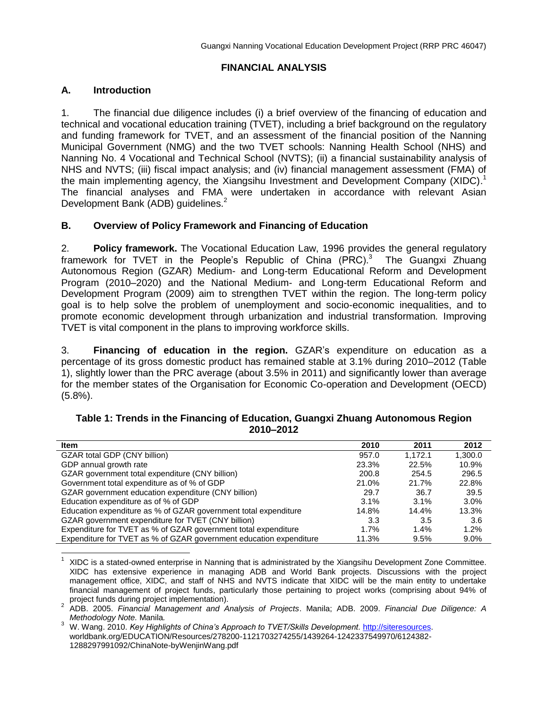## **FINANCIAL ANALYSIS**

# **A. Introduction**

1. The financial due diligence includes (i) a brief overview of the financing of education and technical and vocational education training (TVET), including a brief background on the regulatory and funding framework for TVET, and an assessment of the financial position of the Nanning Municipal Government (NMG) and the two TVET schools: Nanning Health School (NHS) and Nanning No. 4 Vocational and Technical School (NVTS); (ii) a financial sustainability analysis of NHS and NVTS; (iii) fiscal impact analysis; and (iv) financial management assessment (FMA) of the main implementing agency, the Xiangsihu Investment and Development Company (XIDC).<sup>1</sup> The financial analyses and FMA were undertaken in accordance with relevant Asian Development Bank (ADB) guidelines.<sup>2</sup>

# **B. Overview of Policy Framework and Financing of Education**

2. **Policy framework.** The Vocational Education Law, 1996 provides the general regulatory framework for TVET in the People's Republic of China (PRC).<sup>3</sup> The Guangxi Zhuang Autonomous Region (GZAR) Medium- and Long-term Educational Reform and Development Program (2010–2020) and the National Medium- and Long-term Educational Reform and Development Program (2009) aim to strengthen TVET within the region. The long-term policy goal is to help solve the problem of unemployment and socio-economic inequalities, and to promote economic development through urbanization and industrial transformation*.* Improving TVET is vital component in the plans to improving workforce skills.

3. **Financing of education in the region.** GZAR's expenditure on education as a percentage of its gross domestic product has remained stable at 3.1% during 2010–2012 (Table 1), slightly lower than the PRC average (about 3.5% in 2011) and significantly lower than average for the member states of the Organisation for Economic Co-operation and Development (OECD) (5.8%).

| <b>Item</b>                                                        | 2010  | 2011    | 2012    |
|--------------------------------------------------------------------|-------|---------|---------|
| GZAR total GDP (CNY billion)                                       | 957.0 | 1.172.1 | 1.300.0 |
| GDP annual growth rate                                             | 23.3% | 22.5%   | 10.9%   |
| GZAR government total expenditure (CNY billion)                    | 200.8 | 254.5   | 296.5   |
| Government total expenditure as of % of GDP                        | 21.0% | 21.7%   | 22.8%   |
| GZAR government education expenditure (CNY billion)                | 29.7  | 36.7    | 39.5    |
| Education expenditure as of % of GDP                               | 3.1%  | 3.1%    | 3.0%    |
| Education expenditure as % of GZAR government total expenditure    | 14.8% | 14.4%   | 13.3%   |
| GZAR government expenditure for TVET (CNY billion)                 | 3.3   | 3.5     | 3.6     |
| Expenditure for TVET as % of GZAR government total expenditure     | 1.7%  | 1.4%    | 1.2%    |
| Expenditure for TVET as % of GZAR government education expenditure | 11.3% | 9.5%    | 9.0%    |

### **Table 1: Trends in the Financing of Education, Guangxi Zhuang Autonomous Region 2010–2012**

 1 XIDC is a stated-owned enterprise in Nanning that is administrated by the Xiangsihu Development Zone Committee. XIDC has extensive experience in managing ADB and World Bank projects. Discussions with the project management office, XIDC, and staff of NHS and NVTS indicate that XIDC will be the main entity to undertake financial management of project funds, particularly those pertaining to project works (comprising about 94% of project funds during project implementation).

<sup>2</sup> ADB. 2005. *Financial Management and Analysis of Projects*. Manila; ADB. 2009. *Financial Due Diligence: A Methodology Note.* Manila*.*

<sup>3</sup> Wethodology Note, Marma.<br><sup>3</sup> W. Wang. 2010. *Key Highlights of China's Approach to TVET/Skills Development.* [http://siteresources.](http://siteresources/) worldbank.org/EDUCATION/Resources/278200-1121703274255/1439264-1242337549970/6124382- 1288297991092/ChinaNote-byWenjinWang.pdf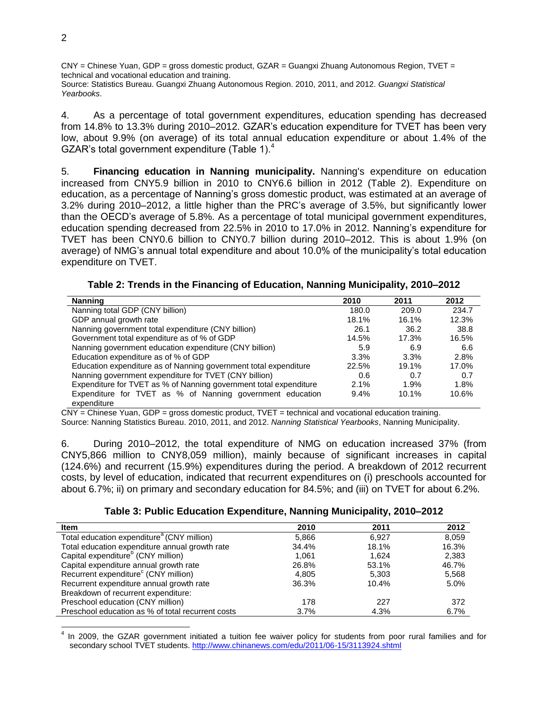CNY = Chinese Yuan, GDP = gross domestic product, GZAR = Guangxi Zhuang Autonomous Region, TVET = technical and vocational education and training. Source: Statistics Bureau. Guangxi Zhuang Autonomous Region. 2010, 2011, and 2012. *Guangxi Statistical Yearbooks*.

4. As a percentage of total government expenditures, education spending has decreased from 14.8% to 13.3% during 2010–2012. GZAR's education expenditure for TVET has been very low, about 9.9% (on average) of its total annual education expenditure or about 1.4% of the GZAR's total government expenditure (Table 1). $4$ 

5. **Financing education in Nanning municipality.** Nanning's expenditure on education increased from CNY5.9 billion in 2010 to CNY6.6 billion in 2012 (Table 2). Expenditure on education, as a percentage of Nanning's gross domestic product, was estimated at an average of 3.2% during 2010–2012, a little higher than the PRC's average of 3.5%, but significantly lower than the OECD's average of 5.8%. As a percentage of total municipal government expenditures, education spending decreased from 22.5% in 2010 to 17.0% in 2012. Nanning's expenditure for TVET has been CNY0.6 billion to CNY0.7 billion during 2010–2012. This is about 1.9% (on average) of NMG's annual total expenditure and about 10.0% of the municipality's total education expenditure on TVET.

**Table 2: Trends in the Financing of Education, Nanning Municipality, 2010–2012**

| <b>Nanning</b>                                                           | 2010    | 2011  | 2012  |
|--------------------------------------------------------------------------|---------|-------|-------|
| Nanning total GDP (CNY billion)                                          | 180.0   | 209.0 | 234.7 |
| GDP annual growth rate                                                   | 18.1%   | 16.1% | 12.3% |
| Nanning government total expenditure (CNY billion)                       | 26.1    | 36.2  | 38.8  |
| Government total expenditure as of % of GDP                              | 14.5%   | 17.3% | 16.5% |
| Nanning government education expenditure (CNY billion)                   | 5.9     | 6.9   | 6.6   |
| Education expenditure as of % of GDP                                     | 3.3%    | 3.3%  | 2.8%  |
| Education expenditure as of Nanning government total expenditure         | 22.5%   | 19.1% | 17.0% |
| Nanning government expenditure for TVET (CNY billion)                    | 0.6     | 0.7   | 0.7   |
| Expenditure for TVET as % of Nanning government total expenditure        | 2.1%    | 1.9%  | 1.8%  |
| Expenditure for TVET as % of Nanning government education<br>expenditure | $9.4\%$ | 10.1% | 10.6% |

CNY = Chinese Yuan, GDP = gross domestic product, TVET = technical and vocational education training.

Source: Nanning Statistics Bureau. 2010, 2011, and 2012. *Nanning Statistical Yearbooks*, Nanning Municipality.

6. During 2010–2012, the total expenditure of NMG on education increased 37% (from CNY5,866 million to CNY8,059 million), mainly because of significant increases in capital (124.6%) and recurrent (15.9%) expenditures during the period. A breakdown of 2012 recurrent costs, by level of education, indicated that recurrent expenditures on (i) preschools accounted for about 6.7%; ii) on primary and secondary education for 84.5%; and (iii) on TVET for about 6.2%.

| Table 3: Public Education Expenditure, Nanning Municipality, 2010–2012 |  |  |  |
|------------------------------------------------------------------------|--|--|--|
|------------------------------------------------------------------------|--|--|--|

| <b>Item</b>                                            | 2010  | 2011  | 2012  |
|--------------------------------------------------------|-------|-------|-------|
| Total education expenditure <sup>a</sup> (CNY million) | 5.866 | 6.927 | 8,059 |
| Total education expenditure annual growth rate         | 34.4% | 18.1% | 16.3% |
| Capital expenditure <sup>b</sup> (CNY million)         | 1.061 | 1.624 | 2,383 |
| Capital expenditure annual growth rate                 | 26.8% | 53.1% | 46.7% |
| Recurrent expenditure <sup>c</sup> (CNY million)       | 4.805 | 5,303 | 5,568 |
| Recurrent expenditure annual growth rate               | 36.3% | 10.4% | 5.0%  |
| Breakdown of recurrent expenditure:                    |       |       |       |
| Preschool education (CNY million)                      | 178   | 227   | 372   |
| Preschool education as % of total recurrent costs      | 3.7%  | 4.3%  | 6.7%  |

 4 In 2009, the GZAR government initiated a tuition fee waiver policy for students from poor rural families and for secondary school TVET students.<http://www.chinanews.com/edu/2011/06-15/3113924.shtml>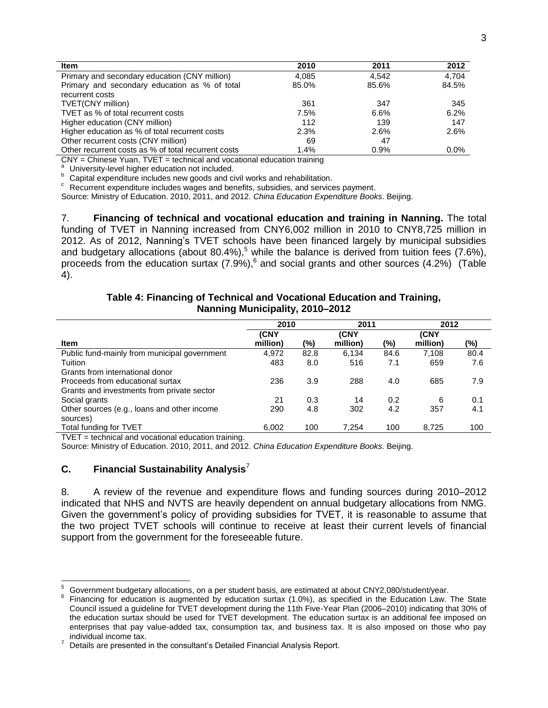| ltem                                                | 2010  | 2011  | 2012    |
|-----------------------------------------------------|-------|-------|---------|
| Primary and secondary education (CNY million)       | 4.085 | 4.542 | 4.704   |
| Primary and secondary education as % of total       | 85.0% | 85.6% | 84.5%   |
| recurrent costs                                     |       |       |         |
| TVET(CNY million)                                   | 361   | 347   | 345     |
| TVET as % of total recurrent costs                  | 7.5%  | 6.6%  | 6.2%    |
| Higher education (CNY million)                      | 112   | 139   | 147     |
| Higher education as % of total recurrent costs      | 2.3%  | 2.6%  | 2.6%    |
| Other recurrent costs (CNY million)                 | 69    | 47    |         |
| Other recurrent costs as % of total recurrent costs | 1.4%  | 0.9%  | $0.0\%$ |

CNY = Chinese Yuan, TVET = technical and vocational education training

a University-level higher education not included.

b Capital expenditure includes new goods and civil works and rehabilitation.

<sup>c</sup> Recurrent expenditure includes wages and benefits, subsidies, and services payment.

Source: Ministry of Education. 2010, 2011, and 2012. *China Education Expenditure Books*. Beijing.

7. **Financing of technical and vocational education and training in Nanning.** The total funding of TVET in Nanning increased from CNY6,002 million in 2010 to CNY8,725 million in 2012. As of 2012, Nanning's TVET schools have been financed largely by municipal subsidies and budgetary allocations (about 80.4%),<sup>5</sup> while the balance is derived from tuition fees (7.6%), proceeds from the education surtax (7.9%),<sup>6</sup> and social grants and other sources (4.2%) (Table 4).

#### **Table 4: Financing of Technical and Vocational Education and Training, Nanning Municipality, 2010–2012**

|                                              | 2010     |      | 2011     |      | 2012     |      |
|----------------------------------------------|----------|------|----------|------|----------|------|
|                                              | (CNY     |      | (CNY     |      | (CNY     |      |
| <b>Item</b>                                  | million) | (%)  | million) | (%)  | million) | (%)  |
| Public fund-mainly from municipal government | 4,972    | 82.8 | 6,134    | 84.6 | 7.108    | 80.4 |
| Tuition                                      | 483      | 8.0  | 516      | 7.1  | 659      | 7.6  |
| Grants from international donor              |          |      |          |      |          |      |
| Proceeds from educational surtax             | 236      | 3.9  | 288      | 4.0  | 685      | 7.9  |
| Grants and investments from private sector   |          |      |          |      |          |      |
| Social grants                                | 21       | 0.3  | 14       | 0.2  | 6        | 0.1  |
| Other sources (e.g., loans and other income  | 290      | 4.8  | 302      | 4.2  | 357      | 4.1  |
| sources)                                     |          |      |          |      |          |      |
| Total funding for TVET                       | 6,002    | 100  | 7.254    | 100  | 8,725    | 100  |

TVET = technical and vocational education training.

Source: Ministry of Education. 2010, 2011, and 2012. *China Education Expenditure Books*. Beijing.

### **C. Financial Sustainability Analysis**<sup>7</sup>

8. A review of the revenue and expenditure flows and funding sources during 2010–2012 indicated that NHS and NVTS are heavily dependent on annual budgetary allocations from NMG. Given the government's policy of providing subsidies for TVET, it is reasonable to assume that the two project TVET schools will continue to receive at least their current levels of financial support from the government for the foreseeable future.

 $\sqrt{5}$ <sup>5</sup> Government budgetary allocations, on a per student basis, are estimated at about CNY2,080/student/year.

<sup>6</sup> Financing for education is augmented by education surtax (1.0%), as specified in the Education Law. The State Council issued a guideline for TVET development during the 11th Five-Year Plan (2006–2010) indicating that 30% of the education surtax should be used for TVET development. The education surtax is an additional fee imposed on enterprises that pay value-added tax, consumption tax, and business tax. It is also imposed on those who pay individual income tax.

<sup>7</sup> Details are presented in the consultant's Detailed Financial Analysis Report.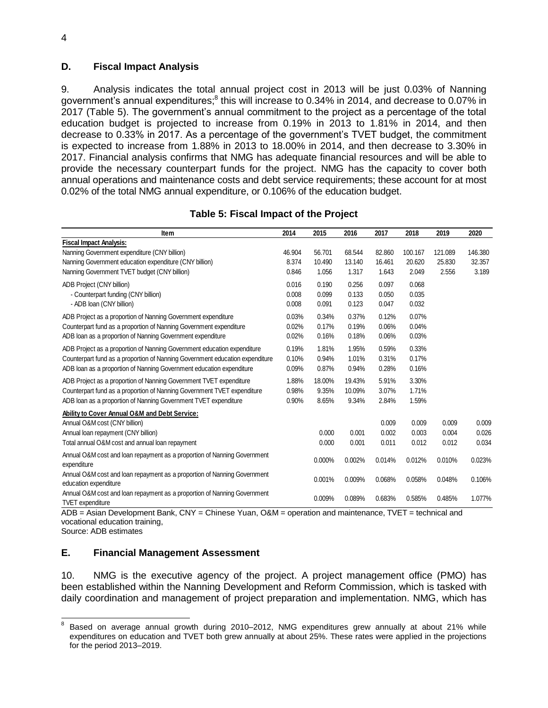### **D. Fiscal Impact Analysis**

9. Analysis indicates the total annual project cost in 2013 will be just 0.03% of Nanning government's annual expenditures;<sup>8</sup> this will increase to 0.34% in 2014, and decrease to 0.07% in 2017 (Table 5). The government's annual commitment to the project as a percentage of the total education budget is projected to increase from 0.19% in 2013 to 1.81% in 2014, and then decrease to 0.33% in 2017. As a percentage of the government's TVET budget, the commitment is expected to increase from 1.88% in 2013 to 18.00% in 2014, and then decrease to 3.30% in 2017. Financial analysis confirms that NMG has adequate financial resources and will be able to provide the necessary counterpart funds for the project. NMG has the capacity to cover both annual operations and maintenance costs and debt service requirements; these account for at most 0.02% of the total NMG annual expenditure, or 0.106% of the education budget.

| Item                                                                                                                                                                                                                                                    | 2014   | 2015   | 2016   | 2017   | 2018    | 2019    | 2020    |
|---------------------------------------------------------------------------------------------------------------------------------------------------------------------------------------------------------------------------------------------------------|--------|--------|--------|--------|---------|---------|---------|
| <b>Fiscal Impact Analysis:</b>                                                                                                                                                                                                                          |        |        |        |        |         |         |         |
| Nanning Government expenditure (CNY billion)                                                                                                                                                                                                            | 46.904 | 56.701 | 68.544 | 82.860 | 100.167 | 121.089 | 146.380 |
| Nanning Government education expenditure (CNY billion)                                                                                                                                                                                                  | 8.374  | 10.490 | 13.140 | 16.461 | 20.620  | 25.830  | 32.357  |
| Nanning Government TVET budget (CNY billion)                                                                                                                                                                                                            | 0.846  | 1.056  | 1.317  | 1.643  | 2.049   | 2.556   | 3.189   |
| ADB Project (CNY billion)                                                                                                                                                                                                                               | 0.016  | 0.190  | 0.256  | 0.097  | 0.068   |         |         |
| - Counterpart funding (CNY billion)                                                                                                                                                                                                                     | 0.008  | 0.099  | 0.133  | 0.050  | 0.035   |         |         |
| - ADB Ioan (CNY billion)                                                                                                                                                                                                                                | 0.008  | 0.091  | 0.123  | 0.047  | 0.032   |         |         |
| ADB Project as a proportion of Nanning Government expenditure                                                                                                                                                                                           | 0.03%  | 0.34%  | 0.37%  | 0.12%  | 0.07%   |         |         |
| Counterpart fund as a proportion of Nanning Government expenditure                                                                                                                                                                                      | 0.02%  | 0.17%  | 0.19%  | 0.06%  | 0.04%   |         |         |
| ADB loan as a proportion of Nanning Government expenditure                                                                                                                                                                                              | 0.02%  | 0.16%  | 0.18%  | 0.06%  | 0.03%   |         |         |
| ADB Project as a proportion of Nanning Government education expenditure                                                                                                                                                                                 | 0.19%  | 1.81%  | 1.95%  | 0.59%  | 0.33%   |         |         |
| Counterpart fund as a proportion of Nanning Government education expenditure                                                                                                                                                                            | 0.10%  | 0.94%  | 1.01%  | 0.31%  | 0.17%   |         |         |
| ADB loan as a proportion of Nanning Government education expenditure                                                                                                                                                                                    | 0.09%  | 0.87%  | 0.94%  | 0.28%  | 0.16%   |         |         |
| ADB Project as a proportion of Nanning Government TVET expenditure                                                                                                                                                                                      | 1.88%  | 18.00% | 19.43% | 5.91%  | 3.30%   |         |         |
| Counterpart fund as a proportion of Nanning Government TVET expenditure                                                                                                                                                                                 | 0.98%  | 9.35%  | 10.09% | 3.07%  | 1.71%   |         |         |
| ADB Ioan as a proportion of Nanning Government TVET expenditure                                                                                                                                                                                         | 0.90%  | 8.65%  | 9.34%  | 2.84%  | 1.59%   |         |         |
| Ability to Cover Annual O&M and Debt Service:                                                                                                                                                                                                           |        |        |        |        |         |         |         |
| Annual O&M cost (CNY billion)                                                                                                                                                                                                                           |        |        |        | 0.009  | 0.009   | 0.009   | 0.009   |
| Annual loan repayment (CNY billion)                                                                                                                                                                                                                     |        | 0.000  | 0.001  | 0.002  | 0.003   | 0.004   | 0.026   |
| Total annual O&M cost and annual loan repayment                                                                                                                                                                                                         |        | 0.000  | 0.001  | 0.011  | 0.012   | 0.012   | 0.034   |
| Annual O&M cost and loan repayment as a proportion of Nanning Government<br>expenditure                                                                                                                                                                 |        | 0.000% | 0.002% | 0.014% | 0.012%  | 0.010%  | 0.023%  |
| Annual O&M cost and loan repayment as a proportion of Nanning Government<br>education expenditure                                                                                                                                                       |        | 0.001% | 0.009% | 0.068% | 0.058%  | 0.048%  | 0.106%  |
| Annual O&M cost and loan repayment as a proportion of Nanning Government<br><b>TVET</b> expenditure                                                                                                                                                     |        | 0.009% | 0.089% | 0.683% | 0.585%  | 0.485%  | 1.077%  |
| ADB = Asian Development Bank, CNY = Chinese Yuan, O&M = operation and maintenance, TVET = technical and<br>vocational education training,<br>Source: ADB estimates                                                                                      |        |        |        |        |         |         |         |
| Е.<br><b>Financial Management Assessment</b>                                                                                                                                                                                                            |        |        |        |        |         |         |         |
| NMG is the executive agency of the project. A project management office (PMO) has<br>10.                                                                                                                                                                |        |        |        |        |         |         |         |
| been established within the Nanning Development and Reform Commission, which is tasked with                                                                                                                                                             |        |        |        |        |         |         |         |
| daily coordination and management of project preparation and implementation. NMG, which has                                                                                                                                                             |        |        |        |        |         |         |         |
|                                                                                                                                                                                                                                                         |        |        |        |        |         |         |         |
| 8<br>Based on average annual growth during 2010–2012, NMG expenditures grew annually at about 21% while<br>expenditures on education and TVET both grew annually at about 25%. These rates were applied in the projections<br>for the period 2013-2019. |        |        |        |        |         |         |         |

## **Table 5: Fiscal Impact of the Project**

# **E. Financial Management Assessment**

 $\frac{1}{8}$ Based on average annual growth during 2010–2012, NMG expenditures grew annually at about 21% while expenditures on education and TVET both grew annually at about 25%. These rates were applied in the projections